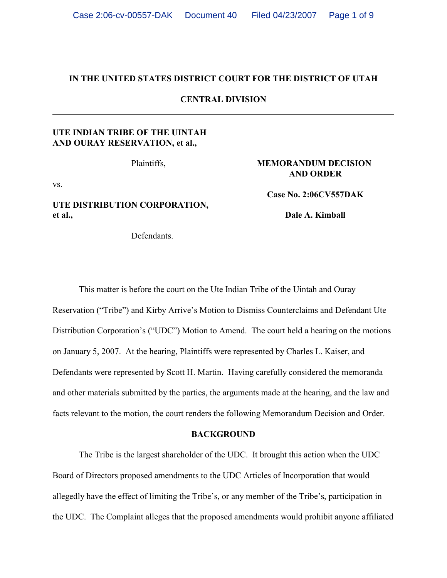## **IN THE UNITED STATES DISTRICT COURT FOR THE DISTRICT OF UTAH**

**CENTRAL DIVISION**

# **UTE INDIAN TRIBE OF THE UINTAH AND OURAY RESERVATION, et al.,**

Plaintiffs,

vs.

**UTE DISTRIBUTION CORPORATION, et al.,** 

Defendants.

## **MEMORANDUM DECISION AND ORDER**

**Case No. 2:06CV557DAK**

**Dale A. Kimball**

This matter is before the court on the Ute Indian Tribe of the Uintah and Ouray Reservation ("Tribe") and Kirby Arrive's Motion to Dismiss Counterclaims and Defendant Ute Distribution Corporation's ("UDC") Motion to Amend. The court held a hearing on the motions on January 5, 2007. At the hearing, Plaintiffs were represented by Charles L. Kaiser, and Defendants were represented by Scott H. Martin. Having carefully considered the memoranda and other materials submitted by the parties, the arguments made at the hearing, and the law and facts relevant to the motion, the court renders the following Memorandum Decision and Order.

## **BACKGROUND**

The Tribe is the largest shareholder of the UDC. It brought this action when the UDC Board of Directors proposed amendments to the UDC Articles of Incorporation that would allegedly have the effect of limiting the Tribe's, or any member of the Tribe's, participation in the UDC. The Complaint alleges that the proposed amendments would prohibit anyone affiliated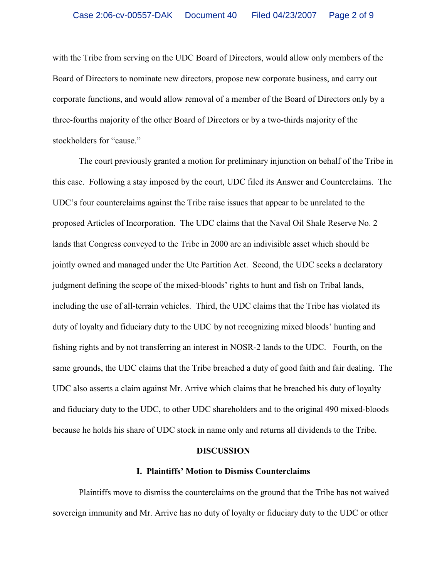with the Tribe from serving on the UDC Board of Directors, would allow only members of the Board of Directors to nominate new directors, propose new corporate business, and carry out corporate functions, and would allow removal of a member of the Board of Directors only by a three-fourths majority of the other Board of Directors or by a two-thirds majority of the stockholders for "cause."

The court previously granted a motion for preliminary injunction on behalf of the Tribe in this case. Following a stay imposed by the court, UDC filed its Answer and Counterclaims. The UDC's four counterclaims against the Tribe raise issues that appear to be unrelated to the proposed Articles of Incorporation. The UDC claims that the Naval Oil Shale Reserve No. 2 lands that Congress conveyed to the Tribe in 2000 are an indivisible asset which should be jointly owned and managed under the Ute Partition Act. Second, the UDC seeks a declaratory judgment defining the scope of the mixed-bloods' rights to hunt and fish on Tribal lands, including the use of all-terrain vehicles. Third, the UDC claims that the Tribe has violated its duty of loyalty and fiduciary duty to the UDC by not recognizing mixed bloods' hunting and fishing rights and by not transferring an interest in NOSR-2 lands to the UDC. Fourth, on the same grounds, the UDC claims that the Tribe breached a duty of good faith and fair dealing. The UDC also asserts a claim against Mr. Arrive which claims that he breached his duty of loyalty and fiduciary duty to the UDC, to other UDC shareholders and to the original 490 mixed-bloods because he holds his share of UDC stock in name only and returns all dividends to the Tribe.

#### **DISCUSSION**

#### **I. Plaintiffs' Motion to Dismiss Counterclaims**

Plaintiffs move to dismiss the counterclaims on the ground that the Tribe has not waived sovereign immunity and Mr. Arrive has no duty of loyalty or fiduciary duty to the UDC or other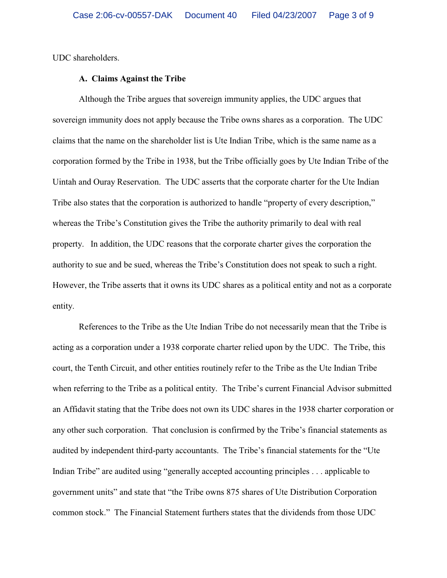UDC shareholders.

## **A. Claims Against the Tribe**

Although the Tribe argues that sovereign immunity applies, the UDC argues that sovereign immunity does not apply because the Tribe owns shares as a corporation. The UDC claims that the name on the shareholder list is Ute Indian Tribe, which is the same name as a corporation formed by the Tribe in 1938, but the Tribe officially goes by Ute Indian Tribe of the Uintah and Ouray Reservation. The UDC asserts that the corporate charter for the Ute Indian Tribe also states that the corporation is authorized to handle "property of every description," whereas the Tribe's Constitution gives the Tribe the authority primarily to deal with real property. In addition, the UDC reasons that the corporate charter gives the corporation the authority to sue and be sued, whereas the Tribe's Constitution does not speak to such a right. However, the Tribe asserts that it owns its UDC shares as a political entity and not as a corporate entity.

References to the Tribe as the Ute Indian Tribe do not necessarily mean that the Tribe is acting as a corporation under a 1938 corporate charter relied upon by the UDC. The Tribe, this court, the Tenth Circuit, and other entities routinely refer to the Tribe as the Ute Indian Tribe when referring to the Tribe as a political entity. The Tribe's current Financial Advisor submitted an Affidavit stating that the Tribe does not own its UDC shares in the 1938 charter corporation or any other such corporation. That conclusion is confirmed by the Tribe's financial statements as audited by independent third-party accountants. The Tribe's financial statements for the "Ute Indian Tribe" are audited using "generally accepted accounting principles . . . applicable to government units" and state that "the Tribe owns 875 shares of Ute Distribution Corporation common stock." The Financial Statement furthers states that the dividends from those UDC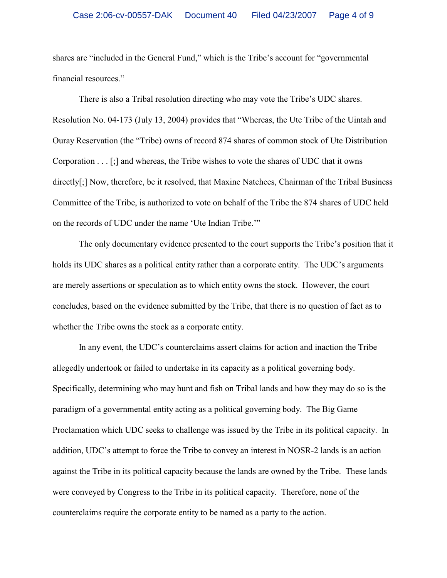shares are "included in the General Fund," which is the Tribe's account for "governmental financial resources."

There is also a Tribal resolution directing who may vote the Tribe's UDC shares. Resolution No. 04-173 (July 13, 2004) provides that "Whereas, the Ute Tribe of the Uintah and Ouray Reservation (the "Tribe) owns of record 874 shares of common stock of Ute Distribution Corporation . . . [;] and whereas, the Tribe wishes to vote the shares of UDC that it owns directly[;] Now, therefore, be it resolved, that Maxine Natchees, Chairman of the Tribal Business Committee of the Tribe, is authorized to vote on behalf of the Tribe the 874 shares of UDC held on the records of UDC under the name 'Ute Indian Tribe.'"

The only documentary evidence presented to the court supports the Tribe's position that it holds its UDC shares as a political entity rather than a corporate entity. The UDC's arguments are merely assertions or speculation as to which entity owns the stock. However, the court concludes, based on the evidence submitted by the Tribe, that there is no question of fact as to whether the Tribe owns the stock as a corporate entity.

In any event, the UDC's counterclaims assert claims for action and inaction the Tribe allegedly undertook or failed to undertake in its capacity as a political governing body. Specifically, determining who may hunt and fish on Tribal lands and how they may do so is the paradigm of a governmental entity acting as a political governing body. The Big Game Proclamation which UDC seeks to challenge was issued by the Tribe in its political capacity. In addition, UDC's attempt to force the Tribe to convey an interest in NOSR-2 lands is an action against the Tribe in its political capacity because the lands are owned by the Tribe. These lands were conveyed by Congress to the Tribe in its political capacity. Therefore, none of the counterclaims require the corporate entity to be named as a party to the action.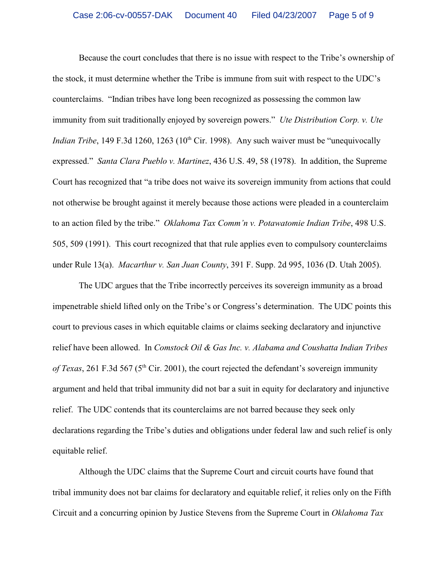Because the court concludes that there is no issue with respect to the Tribe's ownership of the stock, it must determine whether the Tribe is immune from suit with respect to the UDC's counterclaims. "Indian tribes have long been recognized as possessing the common law immunity from suit traditionally enjoyed by sovereign powers." *Ute Distribution Corp. v. Ute Indian Tribe*, 149 F.3d 1260, 1263 (10<sup>th</sup> Cir. 1998). Any such waiver must be "unequivocally expressed." *Santa Clara Pueblo v. Martinez*, 436 U.S. 49, 58 (1978). In addition, the Supreme Court has recognized that "a tribe does not waive its sovereign immunity from actions that could not otherwise be brought against it merely because those actions were pleaded in a counterclaim to an action filed by the tribe." *Oklahoma Tax Comm'n v. Potawatomie Indian Tribe*, 498 U.S. 505, 509 (1991). This court recognized that that rule applies even to compulsory counterclaims under Rule 13(a). *Macarthur v. San Juan County*, 391 F. Supp. 2d 995, 1036 (D. Utah 2005).

The UDC argues that the Tribe incorrectly perceives its sovereign immunity as a broad impenetrable shield lifted only on the Tribe's or Congress's determination. The UDC points this court to previous cases in which equitable claims or claims seeking declaratory and injunctive relief have been allowed. In *Comstock Oil & Gas Inc. v. Alabama and Coushatta Indian Tribes of Texas*, 261 F.3d 567 ( $5<sup>th</sup>$  Cir. 2001), the court rejected the defendant's sovereign immunity argument and held that tribal immunity did not bar a suit in equity for declaratory and injunctive relief. The UDC contends that its counterclaims are not barred because they seek only declarations regarding the Tribe's duties and obligations under federal law and such relief is only equitable relief.

Although the UDC claims that the Supreme Court and circuit courts have found that tribal immunity does not bar claims for declaratory and equitable relief, it relies only on the Fifth Circuit and a concurring opinion by Justice Stevens from the Supreme Court in *Oklahoma Tax*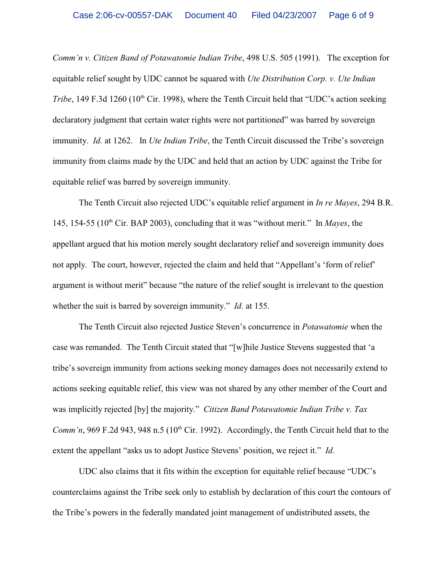*Comm'n v. Citizen Band of Potawatomie Indian Tribe*, 498 U.S. 505 (1991). The exception for equitable relief sought by UDC cannot be squared with *Ute Distribution Corp. v. Ute Indian Tribe*, 149 F.3d 1260 (10<sup>th</sup> Cir. 1998), where the Tenth Circuit held that "UDC's action seeking declaratory judgment that certain water rights were not partitioned" was barred by sovereign immunity. *Id.* at 1262. In *Ute Indian Tribe*, the Tenth Circuit discussed the Tribe's sovereign immunity from claims made by the UDC and held that an action by UDC against the Tribe for equitable relief was barred by sovereign immunity.

The Tenth Circuit also rejected UDC's equitable relief argument in *In re Mayes*, 294 B.R. 145, 154-55 (10<sup>th</sup> Cir. BAP 2003), concluding that it was "without merit." In *Mayes*, the appellant argued that his motion merely sought declaratory relief and sovereign immunity does not apply. The court, however, rejected the claim and held that "Appellant's 'form of relief' argument is without merit" because "the nature of the relief sought is irrelevant to the question whether the suit is barred by sovereign immunity." *Id.* at 155.

The Tenth Circuit also rejected Justice Steven's concurrence in *Potawatomie* when the case was remanded. The Tenth Circuit stated that "[w]hile Justice Stevens suggested that 'a tribe's sovereign immunity from actions seeking money damages does not necessarily extend to actions seeking equitable relief, this view was not shared by any other member of the Court and was implicitly rejected [by] the majority." *Citizen Band Potawatomie Indian Tribe v. Tax Comm'n*, 969 F.2d 943, 948 n.5 ( $10<sup>th</sup>$  Cir. 1992). Accordingly, the Tenth Circuit held that to the extent the appellant "asks us to adopt Justice Stevens' position, we reject it." *Id.*

UDC also claims that it fits within the exception for equitable relief because "UDC's counterclaims against the Tribe seek only to establish by declaration of this court the contours of the Tribe's powers in the federally mandated joint management of undistributed assets, the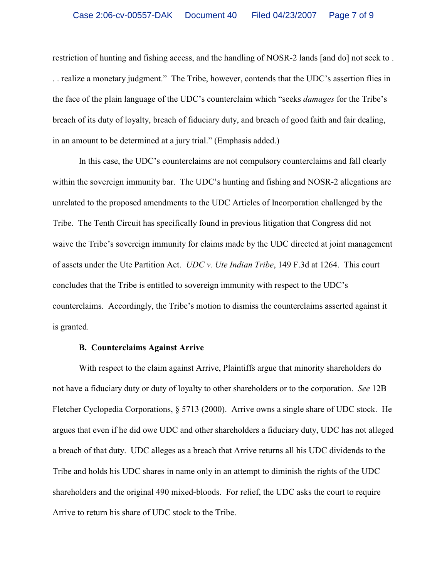restriction of hunting and fishing access, and the handling of NOSR-2 lands [and do] not seek to . . . realize a monetary judgment." The Tribe, however, contends that the UDC's assertion flies in the face of the plain language of the UDC's counterclaim which "seeks *damages* for the Tribe's breach of its duty of loyalty, breach of fiduciary duty, and breach of good faith and fair dealing, in an amount to be determined at a jury trial." (Emphasis added.)

In this case, the UDC's counterclaims are not compulsory counterclaims and fall clearly within the sovereign immunity bar. The UDC's hunting and fishing and NOSR-2 allegations are unrelated to the proposed amendments to the UDC Articles of Incorporation challenged by the Tribe. The Tenth Circuit has specifically found in previous litigation that Congress did not waive the Tribe's sovereign immunity for claims made by the UDC directed at joint management of assets under the Ute Partition Act. *UDC v. Ute Indian Tribe*, 149 F.3d at 1264. This court concludes that the Tribe is entitled to sovereign immunity with respect to the UDC's counterclaims. Accordingly, the Tribe's motion to dismiss the counterclaims asserted against it is granted.

## **B. Counterclaims Against Arrive**

With respect to the claim against Arrive, Plaintiffs argue that minority shareholders do not have a fiduciary duty or duty of loyalty to other shareholders or to the corporation. *See* 12B Fletcher Cyclopedia Corporations, § 5713 (2000). Arrive owns a single share of UDC stock. He argues that even if he did owe UDC and other shareholders a fiduciary duty, UDC has not alleged a breach of that duty. UDC alleges as a breach that Arrive returns all his UDC dividends to the Tribe and holds his UDC shares in name only in an attempt to diminish the rights of the UDC shareholders and the original 490 mixed-bloods. For relief, the UDC asks the court to require Arrive to return his share of UDC stock to the Tribe.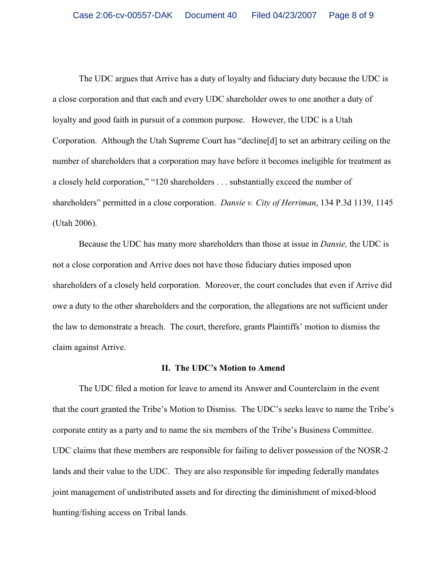The UDC argues that Arrive has a duty of loyalty and fiduciary duty because the UDC is a close corporation and that each and every UDC shareholder owes to one another a duty of loyalty and good faith in pursuit of a common purpose. However, the UDC is a Utah Corporation. Although the Utah Supreme Court has "decline[d] to set an arbitrary ceiling on the number of shareholders that a corporation may have before it becomes ineligible for treatment as a closely held corporation," "120 shareholders . . . substantially exceed the number of shareholders" permitted in a close corporation. *Dansie v. City of Herriman*, 134 P.3d 1139, 1145 (Utah 2006).

Because the UDC has many more shareholders than those at issue in *Dansie,* the UDC is not a close corporation and Arrive does not have those fiduciary duties imposed upon shareholders of a closely held corporation. Moreover, the court concludes that even if Arrive did owe a duty to the other shareholders and the corporation, the allegations are not sufficient under the law to demonstrate a breach. The court, therefore, grants Plaintiffs' motion to dismiss the claim against Arrive.

#### **II. The UDC's Motion to Amend**

The UDC filed a motion for leave to amend its Answer and Counterclaim in the event that the court granted the Tribe's Motion to Dismiss. The UDC's seeks leave to name the Tribe's corporate entity as a party and to name the six members of the Tribe's Business Committee. UDC claims that these members are responsible for failing to deliver possession of the NOSR-2 lands and their value to the UDC. They are also responsible for impeding federally mandates joint management of undistributed assets and for directing the diminishment of mixed-blood hunting/fishing access on Tribal lands.